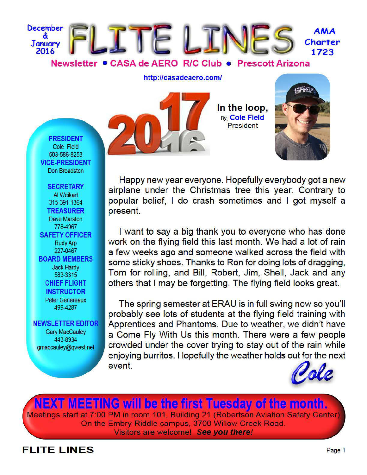

http://casadeaero.com/





**PRESIDENT** Cole Field 503-586-8253 **VICE-PRESIDENT Don Broadston** 

**SECRETARY** Al Weikart 315-391-1364 **TREASURER Dave Marston** 778-4967 **SAFETY OFFICER Rudy Arp** 227-0467 **BOARD MEMBERS Jack Hardy** 583-3315 **CHIEF FLIGHT INSTRUCTOR Peter Genereaux** 499-4287

**NEWSLETTER EDITOR Gary MacCauley** 443-8934 gmaccauley@gwest.net

Happy new year everyone. Hopefully everybody got a new airplane under the Christmas tree this year. Contrary to popular belief, I do crash sometimes and I got myself a present.

I want to say a big thank you to everyone who has done work on the flying field this last month. We had a lot of rain a few weeks ago and someone walked across the field with some sticky shoes. Thanks to Ron for doing lots of dragging. Tom for rolling, and Bill, Robert, Jim, Shell, Jack and any others that I may be forgetting. The flying field looks great.

The spring semester at ERAU is in full swing now so you'll probably see lots of students at the flying field training with Apprentices and Phantoms. Due to weather, we didn't have a Come Fly With Us this month. There were a few people crowded under the cover trying to stay out of the rain while enjoying burritos. Hopefully the weather holds out for the next event.



EXT MEETING will be the first Tuesday of the mo Meetings start at 7:00 PM in room 101, Building 21 (Robertson Aviation Safety Center) On the Embry-Riddle campus, 3700 Willow Creek Road. Visitors are welcome! See you there!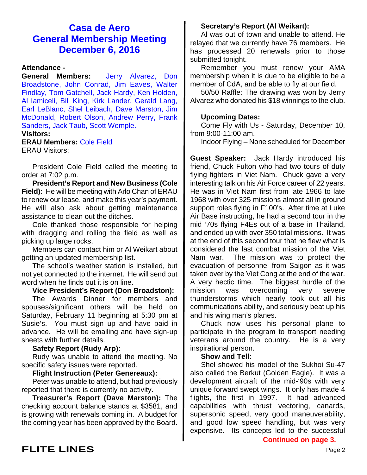## **Casa de Aero General Membership Meeting December 6, 2016**

#### **Attendance -**

**General Members:** Jerry Alvarez, Don Broadstone, John Conrad, Jim Eaves, Walter Findlay, Tom Gatchell, Jack Hardy, Ken Holden, Al Iamiceli, Bill King, Kirk Lander, Gerald Lang, Earl LeBlanc, Shel Leibach, Dave Marston, Jim McDonald, Robert Olson, Andrew Perry, Frank Sanders, Jack Taub, Scott Wemple.

#### **Visitors:**

**ERAU Members:** Cole Field ERAU Visitors:

President Cole Field called the meeting to order at 7:02 p.m.

**President's Report and New Business (Cole Field):** He will be meeting with Arlo Chan of ERAU to renew our lease, and make this year's payment. He will also ask about getting maintenance assistance to clean out the ditches.

Cole thanked those responsible for helping with dragging and rolling the field as well as picking up large rocks.

Members can contact him or Al Weikart about getting an updated membership list.

The school's weather station is installed, but not yet connected to the internet. He will send out word when he finds out it is on line.

#### **Vice President's Report (Don Broadston):**

The Awards Dinner for members and spouses/significant others will be held on Saturday, February 11 beginning at 5:30 pm at Susie's. You must sign up and have paid in advance. He will be emailing and have sign-up sheets with further details.

#### **Safety Report (Rudy Arp):**

Rudy was unable to attend the meeting. No specific safety issues were reported.

#### **Flight Instruction (Peter Genereaux):**

Peter was unable to attend, but had previously reported that there is currently no activity.

**Treasurer's Report (Dave Marston):** The checking account balance stands at \$3581, and is growing with renewals coming in. A budget for the coming year has been approved by the Board.

#### **Secretary's Report (Al Weikart):**

Al was out of town and unable to attend. He relayed that we currently have 76 members. He has processed 20 renewals prior to those submitted tonight.

Remember you must renew your AMA membership when it is due to be eligible to be a member of CdA, and be able to fly at our field.

50/50 Raffle: The drawing was won by Jerry Alvarez who donated his \$18 winnings to the club.

#### **Upcoming Dates:**

Come Fly with Us - Saturday, December 10, from 9:00-11:00 am.

Indoor Flying – None scheduled for December

**Guest Speaker:** Jack Hardy introduced his friend, Chuck Fulton who had two tours of duty flying fighters in Viet Nam. Chuck gave a very interesting talk on his Air Force career of 22 years. He was in Viet Nam first from late 1966 to late 1968 with over 325 missions almost all in ground support roles flying in F100's. After time at Luke Air Base instructing, he had a second tour in the mid '70s flying F4Es out of a base in Thailand, and ended up with over 350 total missions. It was at the end of this second tour that he flew what is considered the last combat mission of the Viet Nam war. The mission was to protect the evacuation of personnel from Saigon as it was taken over by the Viet Cong at the end of the war. A very hectic time. The biggest hurdle of the mission was overcoming very severe thunderstorms which nearly took out all his communications ability, and seriously beat up his and his wing man's planes.

Chuck now uses his personal plane to participate in the program to transport needing veterans around the country. He is a very inspirational person.

#### **Show and Tell:**

Shel showed his model of the Sukhoi Su-47 also called the Berkut (Golden Eagle). It was a development aircraft of the mid-'90s with very unique forward swept wings. It only has made 4 flights, the first in 1997. It had advanced capabilities with thrust vectoring, canards, supersonic speed, very good maneuverability, and good low speed handling, but was very expensive. Its concepts led to the successful

**Continued on page 3.**

# **FLITE LINES** Page 2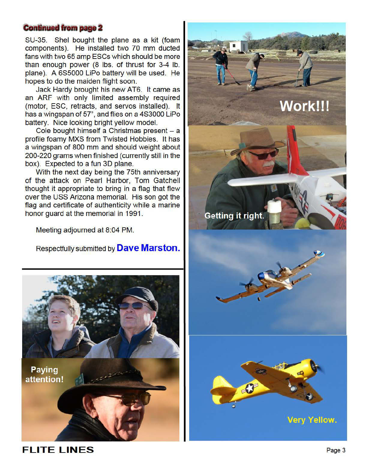#### **Continued from page 2**

SU-35. Shel bought the plane as a kit (foam components). He installed two 70 mm ducted fans with two 65 amp ESCs which should be more than enough power (8 lbs. of thrust for 3-4 lb. plane). A 6S5000 LiPo battery will be used. He hopes to do the maiden flight soon.

Jack Hardy brought his new AT6. It came as an ARF with only limited assembly required (motor, ESC, retracts, and servos installed). It has a wingspan of 57", and flies on a 4S3000 LiPo battery. Nice looking bright yellow model.

Cole bought himself a Christmas present - a profile foamy MXS from Twisted Hobbies. It has a wingspan of 800 mm and should weight about 200-220 grams when finished (currently still in the box). Expected to a fun 3D plane.

With the next day being the 75th anniversary of the attack on Pearl Harbor, Tom Gatchell thought it appropriate to bring in a flag that flew over the USS Arizona memorial. His son got the flag and certificate of authenticity while a marine honor quard at the memorial in 1991.

Meeting adjourned at 8:04 PM.

Respectfully submitted by Dave Marston.



# **Work!!! Getting it right. Very Yellow.**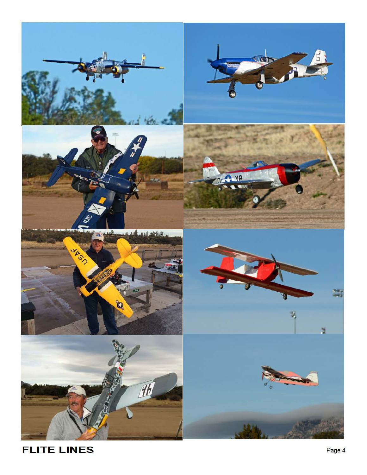